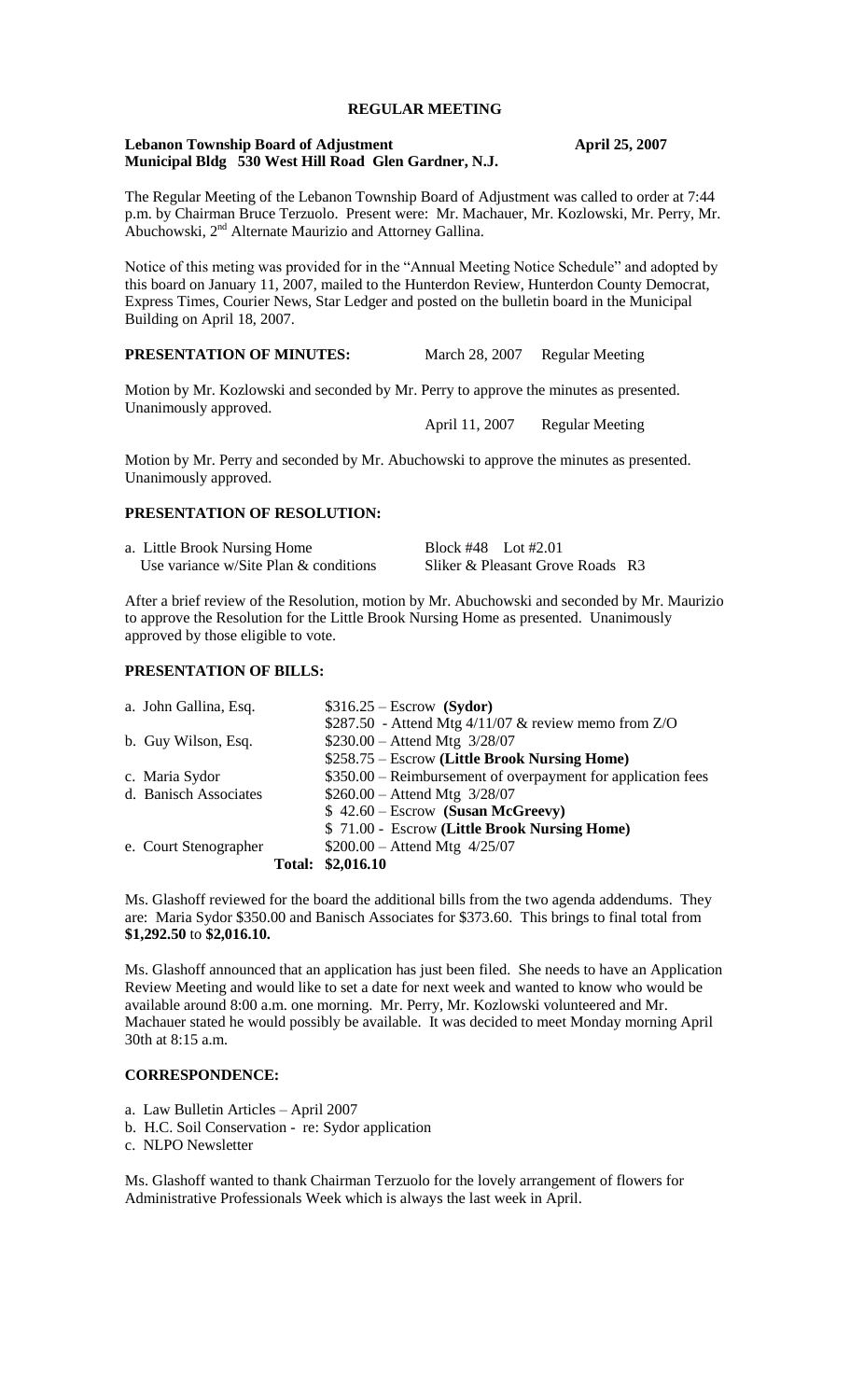## **REGULAR MEETING**

#### **Lebanon Township Board of Adjustment April 25, 2007 Municipal Bldg 530 West Hill Road Glen Gardner, N.J.**

The Regular Meeting of the Lebanon Township Board of Adjustment was called to order at 7:44 p.m. by Chairman Bruce Terzuolo. Present were: Mr. Machauer, Mr. Kozlowski, Mr. Perry, Mr. Abuchowski, 2<sup>nd</sup> Alternate Maurizio and Attorney Gallina.

Notice of this meting was provided for in the "Annual Meeting Notice Schedule" and adopted by this board on January 11, 2007, mailed to the Hunterdon Review, Hunterdon County Democrat, Express Times, Courier News, Star Ledger and posted on the bulletin board in the Municipal Building on April 18, 2007.

#### **PRESENTATION OF MINUTES:** March 28, 2007 Regular Meeting

Motion by Mr. Kozlowski and seconded by Mr. Perry to approve the minutes as presented. Unanimously approved.

April 11, 2007 Regular Meeting

Motion by Mr. Perry and seconded by Mr. Abuchowski to approve the minutes as presented. Unanimously approved.

#### **PRESENTATION OF RESOLUTION:**

| a. Little Brook Nursing Home                | Block #48 Lot #2.01              |  |
|---------------------------------------------|----------------------------------|--|
| Use variance $w/S$ ite Plan $\&$ conditions | Sliker & Pleasant Grove Roads R3 |  |

After a brief review of the Resolution, motion by Mr. Abuchowski and seconded by Mr. Maurizio to approve the Resolution for the Little Brook Nursing Home as presented. Unanimously approved by those eligible to vote.

## **PRESENTATION OF BILLS:**

| a. John Gallina, Esq. | $$316.25 - Escrow$ (Sydor)                                   |
|-----------------------|--------------------------------------------------------------|
|                       | \$287.50 - Attend Mtg $4/11/07$ & review memo from Z/O       |
| b. Guy Wilson, Esq.   | $$230.00 -$ Attend Mtg $3/28/07$                             |
|                       | \$258.75 – Escrow (Little Brook Nursing Home)                |
| c. Maria Sydor        | \$350.00 – Reimbursement of overpayment for application fees |
| d. Banisch Associates | $$260.00 -$ Attend Mtg $3/28/07$                             |
|                       | $$42.60 - Escrow$ (Susan McGreevy)                           |
|                       | \$71.00 - Escrow (Little Brook Nursing Home)                 |
| e. Court Stenographer | $$200.00 -$ Attend Mtg 4/25/07                               |
|                       | Total: \$2,016.10                                            |

Ms. Glashoff reviewed for the board the additional bills from the two agenda addendums. They are: Maria Sydor \$350.00 and Banisch Associates for \$373.60. This brings to final total from **\$1,292.50** to **\$2,016.10.**

Ms. Glashoff announced that an application has just been filed. She needs to have an Application Review Meeting and would like to set a date for next week and wanted to know who would be available around 8:00 a.m. one morning. Mr. Perry, Mr. Kozlowski volunteered and Mr. Machauer stated he would possibly be available. It was decided to meet Monday morning April 30th at 8:15 a.m.

## **CORRESPONDENCE:**

- a. Law Bulletin Articles April 2007
- b. H.C. Soil Conservation re: Sydor application

c. NLPO Newsletter

Ms. Glashoff wanted to thank Chairman Terzuolo for the lovely arrangement of flowers for Administrative Professionals Week which is always the last week in April.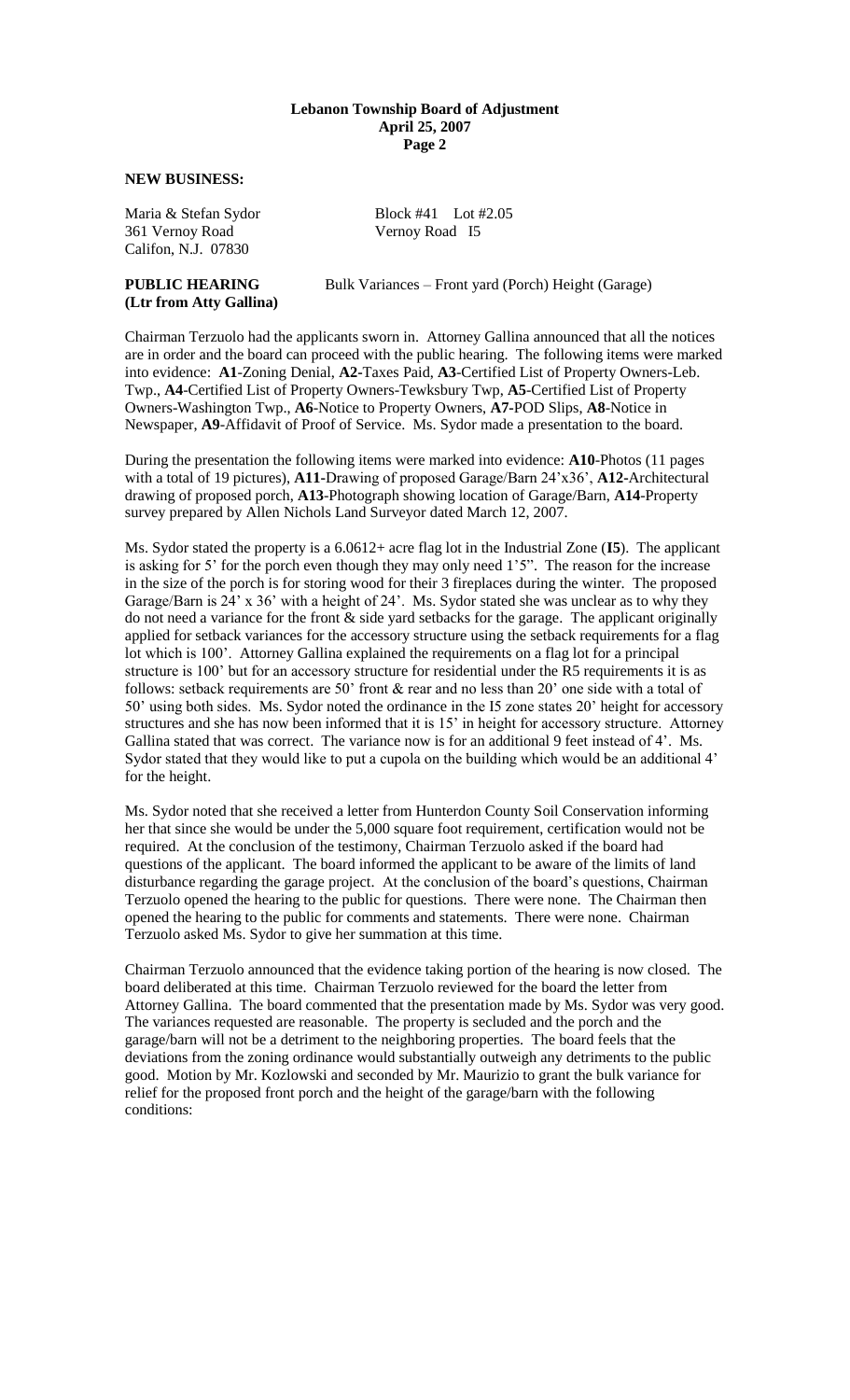#### **Lebanon Township Board of Adjustment April 25, 2007 Page 2**

**NEW BUSINESS:**

361 Vernoy Road Vernoy Road I5 Califon, N.J. 07830

# **(Ltr from Atty Gallina)**

Maria & Stefan Sydor Block #41 Lot #2.05

**PUBLIC HEARING** Bulk Variances – Front yard (Porch) Height (Garage)

Chairman Terzuolo had the applicants sworn in. Attorney Gallina announced that all the notices are in order and the board can proceed with the public hearing. The following items were marked into evidence: **A1**-Zoning Denial, **A2-**Taxes Paid, **A3**-Certified List of Property Owners-Leb. Twp., **A4**-Certified List of Property Owners-Tewksbury Twp, **A5**-Certified List of Property Owners-Washington Twp., **A6**-Notice to Property Owners, **A7-**POD Slips, **A8**-Notice in Newspaper, **A9**-Affidavit of Proof of Service. Ms. Sydor made a presentation to the board.

During the presentation the following items were marked into evidence: **A10**-Photos (11 pages with a total of 19 pictures), **A11-**Drawing of proposed Garage/Barn 24'x36', **A12-**Architectural drawing of proposed porch, **A13**-Photograph showing location of Garage/Barn, **A14**-Property survey prepared by Allen Nichols Land Surveyor dated March 12, 2007.

Ms. Sydor stated the property is a 6.0612+ acre flag lot in the Industrial Zone (**I5**). The applicant is asking for 5' for the porch even though they may only need 1'5". The reason for the increase in the size of the porch is for storing wood for their 3 fireplaces during the winter. The proposed Garage/Barn is 24' x 36' with a height of 24'. Ms. Sydor stated she was unclear as to why they do not need a variance for the front & side yard setbacks for the garage. The applicant originally applied for setback variances for the accessory structure using the setback requirements for a flag lot which is 100'. Attorney Gallina explained the requirements on a flag lot for a principal structure is 100' but for an accessory structure for residential under the R5 requirements it is as follows: setback requirements are 50' front  $\&$  rear and no less than 20' one side with a total of 50' using both sides. Ms. Sydor noted the ordinance in the I5 zone states 20' height for accessory structures and she has now been informed that it is 15' in height for accessory structure. Attorney Gallina stated that was correct. The variance now is for an additional 9 feet instead of 4'. Ms. Sydor stated that they would like to put a cupola on the building which would be an additional 4' for the height.

Ms. Sydor noted that she received a letter from Hunterdon County Soil Conservation informing her that since she would be under the 5,000 square foot requirement, certification would not be required. At the conclusion of the testimony, Chairman Terzuolo asked if the board had questions of the applicant. The board informed the applicant to be aware of the limits of land disturbance regarding the garage project. At the conclusion of the board's questions, Chairman Terzuolo opened the hearing to the public for questions. There were none. The Chairman then opened the hearing to the public for comments and statements. There were none. Chairman Terzuolo asked Ms. Sydor to give her summation at this time.

Chairman Terzuolo announced that the evidence taking portion of the hearing is now closed. The board deliberated at this time. Chairman Terzuolo reviewed for the board the letter from Attorney Gallina. The board commented that the presentation made by Ms. Sydor was very good. The variances requested are reasonable. The property is secluded and the porch and the garage/barn will not be a detriment to the neighboring properties. The board feels that the deviations from the zoning ordinance would substantially outweigh any detriments to the public good. Motion by Mr. Kozlowski and seconded by Mr. Maurizio to grant the bulk variance for relief for the proposed front porch and the height of the garage/barn with the following conditions: